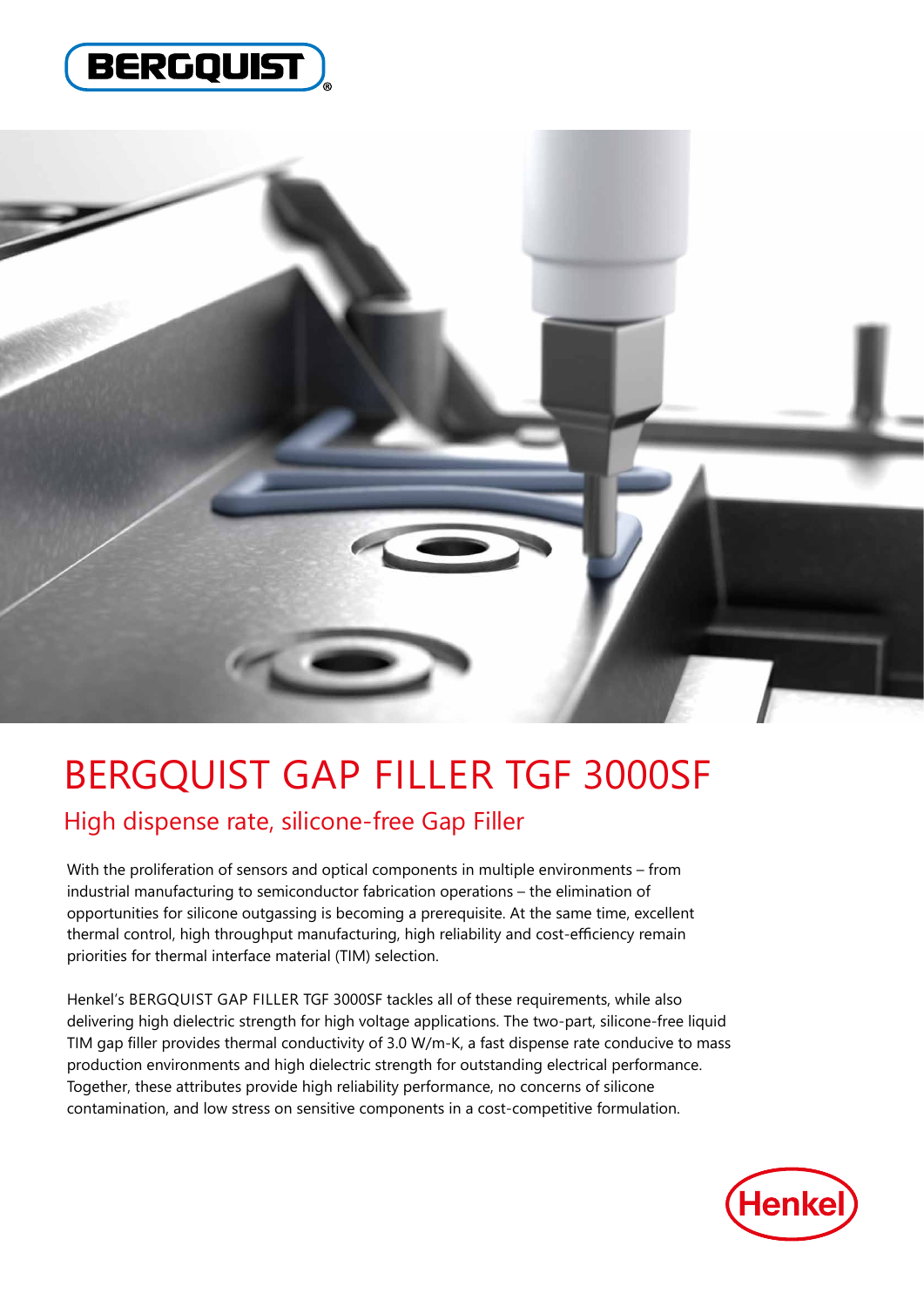



# BERGQUIST GAP FILLER TGF 3000SF

High dispense rate, silicone-free Gap Filler

With the proliferation of sensors and optical components in multiple environments – from industrial manufacturing to semiconductor fabrication operations – the elimination of opportunities for silicone outgassing is becoming a prerequisite. At the same time, excellent thermal control, high throughput manufacturing, high reliability and cost-efficiency remain priorities for thermal interface material (TIM) selection.

Henkel's BERGQUIST GAP FILLER TGF 3000SF tackles all of these requirements, while also delivering high dielectric strength for high voltage applications. The two-part, silicone-free liquid TIM gap filler provides thermal conductivity of 3.0 W/m-K, a fast dispense rate conducive to mass production environments and high dielectric strength for outstanding electrical performance. Together, these attributes provide high reliability performance, no concerns of silicone contamination, and low stress on sensitive components in a cost-competitive formulation.